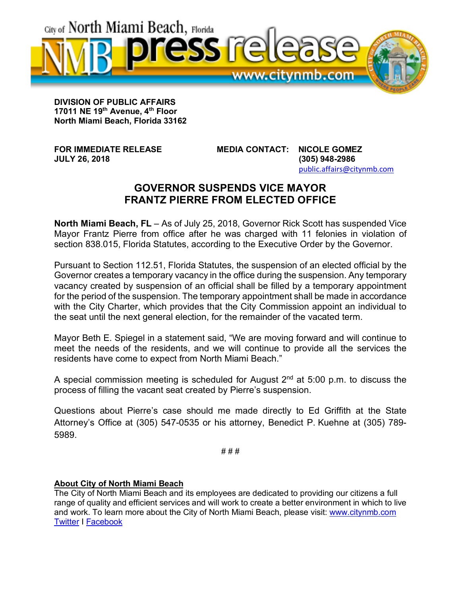

**DIVISION OF PUBLIC AFFAIRS 17011 NE 19th Avenue, 4th Floor North Miami Beach, Florida 33162**

**FOR IMMEDIATE RELEASE MEDIA CONTACT: NICOLE GOMEZ JULY 26, 2018 (305) 948-2986** public.affairs@citynmb.com

## **GOVERNOR SUSPENDS VICE MAYOR FRANTZ PIERRE FROM ELECTED OFFICE**

**North Miami Beach, FL** – As of July 25, 2018, Governor Rick Scott has suspended Vice Mayor Frantz Pierre from office after he was charged with 11 felonies in violation of section 838.015, Florida Statutes, according to the Executive Order by the Governor.

Pursuant to Section 112.51, Florida Statutes, the suspension of an elected official by the Governor creates a temporary vacancy in the office during the suspension. Any temporary vacancy created by suspension of an official shall be filled by a temporary appointment for the period of the suspension. The temporary appointment shall be made in accordance with the City Charter, which provides that the City Commission appoint an individual to the seat until the next general election, for the remainder of the vacated term.

Mayor Beth E. Spiegel in a statement said, "We are moving forward and will continue to meet the needs of the residents, and we will continue to provide all the services the residents have come to expect from North Miami Beach."

A special commission meeting is scheduled for August  $2<sup>nd</sup>$  at 5:00 p.m. to discuss the process of filling the vacant seat created by Pierre's suspension.

Questions about Pierre's case should me made directly to Ed Griffith at the State Attorney's Office at (305) 547-0535 or his attorney, Benedict P. Kuehne at (305) 789- 5989.

**# # #**

## **About City of North Miami Beach**

The City of North Miami Beach and its employees are dedicated to providing our citizens a full range of quality and efficient services and will work to create a better environment in which to live and work. To learn more about the City of North Miami Beach, please visit: www.citynmb.com Twitter I Facebook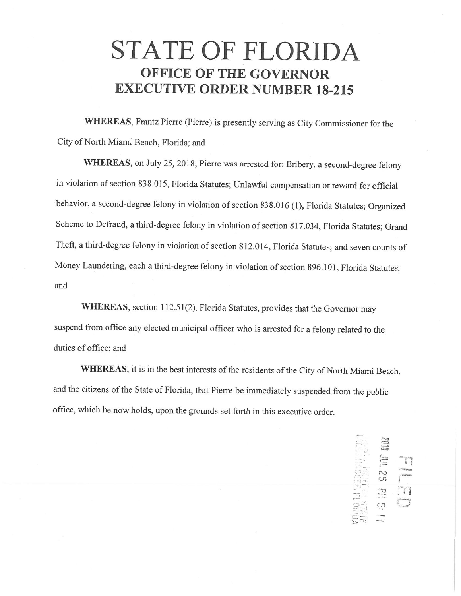## STATE OF FLORIDA **OFFICE OF THE GOVERNOR EXECUTIVE ORDER NUMBER 18-215**

WHEREAS, Frantz Pierre (Pierre) is presently serving as City Commissioner for the City of North Miami Beach, Florida; and

WHEREAS, on July 25, 2018, Pierre was arrested for: Bribery, a second-degree felony in violation of section 838.015, Florida Statutes; Unlawful compensation or reward for official behavior, a second-degree felony in violation of section 838.016 (1), Florida Statutes; Organized Scheme to Defraud, a third-degree felony in violation of section 817.034, Florida Statutes; Grand Theft, a third-degree felony in violation of section 812.014, Florida Statutes; and seven counts of Money Laundering, each a third-degree felony in violation of section 896.101, Florida Statutes; and

WHEREAS, section 112.51(2), Florida Statutes, provides that the Governor may suspend from office any elected municipal officer who is arrested for a felony related to the duties of office; and

WHEREAS, it is in the best interests of the residents of the City of North Miami Beach, and the citizens of the State of Florida, that Pierre be immediately suspended from the public office, which he now holds, upon the grounds set forth in this executive order.

> Jul 25 PH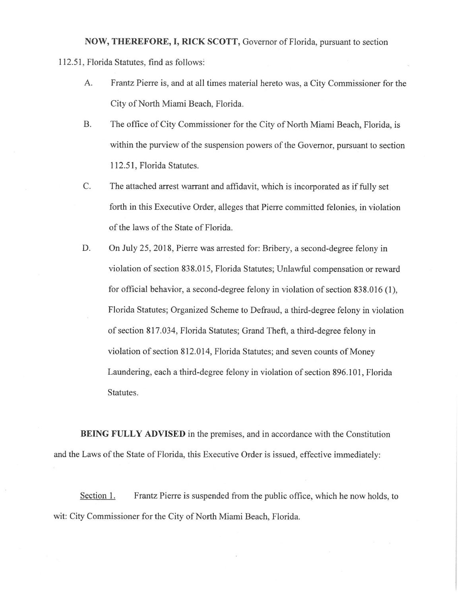NOW, THEREFORE, I, RICK SCOTT, Governor of Florida, pursuant to section 112.51, Florida Statutes, find as follows:

- A. Frantz Pierre is, and at all times material hereto was, a City Commissioner for the City of North Miami Beach, Florida.
- **B.** The office of City Commissioner for the City of North Miami Beach, Florida, is within the purview of the suspension powers of the Governor, pursuant to section 112.51, Florida Statutes.
- C. The attached arrest warrant and affidavit, which is incorporated as if fully set forth in this Executive Order, alleges that Pierre committed felonies, in violation of the laws of the State of Florida.
- D. On July 25, 2018, Pierre was arrested for: Bribery, a second-degree felony in violation of section 838.015, Florida Statutes; Unlawful compensation or reward for official behavior, a second-degree felony in violation of section 838.016 (1), Florida Statutes; Organized Scheme to Defraud, a third-degree felony in violation of section 817.034, Florida Statutes; Grand Theft, a third-degree felony in violation of section 812.014, Florida Statutes; and seven counts of Money Laundering, each a third-degree felony in violation of section 896.101, Florida Statutes.

BEING FULLY ADVISED in the premises, and in accordance with the Constitution and the Laws of the State of Florida, this Executive Order is issued, effective immediately:

Section 1. Frantz Pierre is suspended from the public office, which he now holds, to wit: City Commissioner for the City of North Miami Beach, Florida.